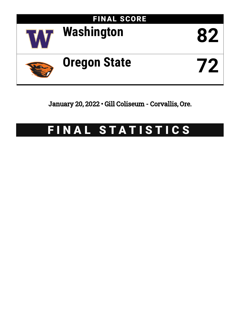

January 20, 2022 • Gill Coliseum - Corvallis, Ore.

# FINAL STATISTICS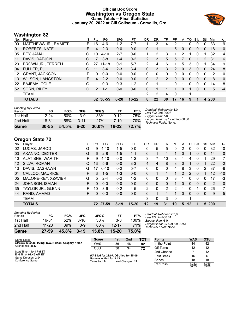## **Official Box Score Washington vs Oregon State Game Totals -- Final Statistics January 20, 2022 at Gill Coliseum - Corvallis, Ore.**



# **Washington 82**

| No. | Player                    | S  | Pts           | FG        | 3FG      | FT        | OR | <b>DR</b> | TR             | PF             | A            | TO           | <b>B</b> lk  | Stl          | Min | $+/-$        |
|-----|---------------------------|----|---------------|-----------|----------|-----------|----|-----------|----------------|----------------|--------------|--------------|--------------|--------------|-----|--------------|
| 00  | MATTHEWS JR., EMMITT      | F. | 16            | 4-6       | $1 - 2$  | $7-7$     |    | 3         | 4              | 2              |              | 0            | 0            | 0            | 33  | 9            |
| 01  | ROBERTS, NATE             | F. | 4             | $2 - 3$   | $0 - 0$  | $0 - 0$   | 0  | 1         |                | 5              | $\mathbf{0}$ | 0            | $\mathbf{0}$ | $\mathbf{0}$ | 16  | 0            |
| 05  | BEY, JAMAL                | G  | 10            | $4 - 10$  | $2 - 7$  | $0 - 0$   | 1  | 2         | 3              | 1              | 2            | -1           | $\mathbf 0$  | 1            | 32  | 4            |
| 11  | DAVIS, DAEJON             | G  | 7             | $3 - 8$   | $1 - 4$  | $0 - 2$   | 2  | 3         | 5              | 5.             | 7            | $\mathbf{0}$ | 1            | 2            | -31 | 6            |
| 23  | <b>BROWN JR., TERRELL</b> | G  | 27            | $11 - 18$ | $0 - 1$  | $5 - 7$   | 2  | 4         | 6              |                | 5            | 3            | $\Omega$     |              | 34  | 9            |
| 04  | FULLER, PJ                | G  | 11            | $3 - 4$   | $2 - 3$  | $3 - 4$   | 0  | 3         | 3              | $\overline{2}$ | $\Omega$     | 3            | $\Omega$     | $\Omega$     | 24  | 8            |
| 12  | <b>GRANT, JACKSON</b>     | F  | 0             | $0 - 0$   | $0 - 0$  | $0 - 0$   | 0  | 0         | $\Omega$       | $\Omega$       | 0            | 0            | $\Omega$     | 0            | 2   | $\mathbf{0}$ |
| 13  | <b>WILSON, LANGSTON</b>   | F. | 4             | $2 - 2$   | $0 - 0$  | $0 - 0$   | 0  | 2         | $\overline{2}$ | $\Omega$       | $\mathbf{0}$ | $\mathbf{0}$ | $\mathbf{0}$ | $\mathbf{0}$ | 8   | 10           |
| 22  | BAJEMA, COLE              | G  |               | $0 - 3$   | $0 - 3$  | $1 - 2$   | 0  | 1         |                | 0              |              | 0            | 0            | 0            | 14  | 8            |
| 52  | SORN, RILEY               | C. | $\mathcal{P}$ | $1 - 1$   | $0 - 0$  | $0 - 0$   | 0  | 1         |                | 1              | 0            |              | $\Omega$     | $\mathbf{0}$ | 5   | $-4$         |
|     | <b>TEAM</b>               |    |               |           |          |           | 2  | 2         | 4              | $\Omega$       |              | 1            |              |              |     |              |
|     | <b>TOTALS</b>             |    |               | 82 30-55  | $6 - 20$ | $16 - 22$ | 8  | 22        | 30             | 17             | 16           | 9            |              | 4            | 200 |              |
|     |                           |    |               |           |          |           |    |           |                |                |              |              |              |              |     |              |

| Game                                | 30-55     | 54.5% | $6 - 20$ | 30.0% | $16 - 22$ | 72.7% |                                                            |
|-------------------------------------|-----------|-------|----------|-------|-----------|-------|------------------------------------------------------------|
| 2nd Half                            | 18-31     | 58%   | $3 - 11$ | 27%   | 7-10      | 70%   | Largest lead: By 12 at 2nd-00:08<br>Technical Fouls: None. |
| 1st Half                            | $12 - 24$ | 50%   | $3-9$    | 33%   | $9 - 12$  | 75%   | Biggest Run: 7-0                                           |
| <b>Shooting By Period</b><br>Period | FG        | FG%   | 3FG      | 3FG%  | FТ        | FT%   | Deadball Rebounds: 4,0<br>Last FG: 2nd-00:08               |

# **Oregon State 72**

| No.             | Plaver                 | S  | Pts | FG       | 3FG      | FТ        | OR | DR       | TR       | PF | A  | TO       | <b>Blk</b> | Stl      | Min        | $+/-$        |
|-----------------|------------------------|----|-----|----------|----------|-----------|----|----------|----------|----|----|----------|------------|----------|------------|--------------|
| 02              | LUCAS, JAROD           | G  | 9   | 4-10     | 1-5      | $0 - 0$   | 0  | 5        | 5        |    | 2  | 0        | 0          | 0        | 32         | $-10$        |
| 03              | AKANNO, DEXTER         | G  | 6   | $2 - 8$  | $1-5$    | $1 - 1$   | 0  |          |          |    | 0  |          | 0          | 0        | 14         | $\mathbf{0}$ |
| 10              | ALATISHE, WARITH       | F  | 9   | $4 - 10$ | $0 - 0$  | $1 - 2$   | 3  |          | 10       | 3  |    | 4        | 0          |          | 29         | $-7$         |
| 12 <sup>°</sup> | SILVA, ROMAN           | С  | 13  | $5-6$    | $0 - 0$  | $3 - 3$   | 4  | 4        | 8        | 3  | 0  |          | 0          |          | 22         | $-2$         |
| 13              | DAVIS, DASHAWN         | G  | 17  | $6 - 10$ | $0 - 2$  | $5 - 7$   | 0  | $\Omega$ | $\Omega$ | 4  | 8  | 3        | 0          | 2        | 37         | -6           |
| 01              | CALLOO, MAURICE        | F. | 3   | $1 - 5$  | $1 - 3$  | $0 - 0$   | 0  |          |          |    | 2  | 2        | 0          |          | 12         | $-10$        |
| 05              | MALONE-KEY, XZAVIER    | G  | 5.  | $2 - 4$  | $0 - 2$  | $1 - 2$   | 0  | 0        | 0        | 3  |    | 0        | 0          | 0        | 17         | -3           |
| 24              | <b>JOHNSON, ISAIAH</b> | F  | 0   | $0 - 0$  | $0 - 0$  | $0 - 0$   | 0  | 0        | $\Omega$ |    | 0  | $\Omega$ | $\Omega$   | $\Omega$ | 2          | $\Omega$     |
| 35              | TAYLOR JR., GLENN      | F. | 10  | $3-6$    | $0 - 2$  | $4 - 5$   | 2  | 0        | 2        | 2  |    | 0        |            | 0        | 26         | $-7$         |
| 44              | RAND, AHMAD            | F. | 0   | $0 - 0$  | $0 - 0$  | $0 - 0$   | 0  |          |          |    | 0  | $\Omega$ | 0          | 0        | 9          | -5           |
|                 | TEAM                   |    |     |          |          |           | 3  | 0        | 3        | 0  |    | 4        |            |          |            |              |
|                 | <b>TOTALS</b>          |    |     | 72 27-59 | $3 - 19$ | $15 - 20$ | 12 | 19       | 31       | 19 | 15 | 12       |            | 5        | <b>200</b> |              |

| Game                                | $27 - 59$ | 45.8% | $3-19$   | 15.8%  | 15-20     | <b>75.0%</b> |
|-------------------------------------|-----------|-------|----------|--------|-----------|--------------|
| 2nd Half                            | 11-28     | 39%   | ი-9      | $00\%$ | $12 - 17$ | <b>71%</b>   |
| 1st Half                            | 16-31     | 52%   | $3 - 10$ | 30%    | 3-3       | 100%         |
| <b>Shooting By Period</b><br>Period | FG        | FG%   | 3FG      | 3FG%   | FТ        | FT%          |

*Deadball Rebounds:* 3,0 *Last FG:* 2nd-00:01 *Biggest Run:* 6-0 *Largest lead:* By 5 at 1st-00:51 *Technical Fouls:* None.

| Game Notes:                                                               | <b>Score</b>                             | 1st | 2nd              | тот | <b>Points</b> | <b>WAS</b>     | OSU            |
|---------------------------------------------------------------------------|------------------------------------------|-----|------------------|-----|---------------|----------------|----------------|
| Officials: Michael Irving, D.G. Nelson, Gregory Nixon<br>Attendance: 3833 | <b>WAS</b>                               | 36  | 46               |     | In the Paint  | 44             | 42             |
|                                                                           | OSU                                      | 38  | 34               | 72  | Off Turns     |                | 12             |
| Start Time: 11:41 PM ET                                                   |                                          |     |                  |     | 2nd Chance    |                | 12             |
| End Time: 01:46 AM ET<br>Game Duration: 2:04                              | WAS led for 21:07, OSU led for 15:09.    |     |                  |     | Fast Break    | 16             |                |
| Conference Game:                                                          | Game was tied for 3:43.<br>Times tied: 6 |     | Lead Changes: 19 |     | Bench         | 18             | 18             |
|                                                                           |                                          |     |                  |     | Per Poss      | 1.262<br>38/65 | 1.059<br>35/68 |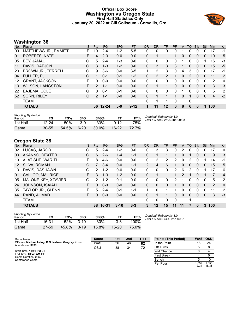#### **Official Box Score Washington vs Oregon State First Half Statistics Only January 20, 2022 at Gill Coliseum - Corvallis, Ore.**



# **Washington 36**

| No. | Player                      | S  | <b>Pts</b>    | <b>FG</b> | 3FG     | <b>FT</b> | <b>OR</b>    | <b>DR</b> | <b>TR</b>      | PF       | A | TO       | <b>Blk</b>   | Stl          | Min | $+/-$ |
|-----|-----------------------------|----|---------------|-----------|---------|-----------|--------------|-----------|----------------|----------|---|----------|--------------|--------------|-----|-------|
| 00  | <b>MATTHEWS JR., EMMITT</b> | F  | 10            | 2-4       | $1 - 2$ | $5 - 5$   | 0            | 0         | 0              |          |   | 0        | 0            | 0            | 17  | -1    |
| 01  | <b>ROBERTS, NATE</b>        | F  | 4             | $2 - 3$   | $0 - 0$ | $0 - 0$   | 0            | 1         |                |          | 0 | $\Omega$ | 0            | 0            | 10  | -5    |
| 05  | <b>BEY, JAMAL</b>           | G  | 5             | $2 - 4$   | $1 - 3$ | $0-0$     | 0            | 0         | 0              | 0        |   | 0        | 0            | 1            | 16  | $-3$  |
| 11  | DAVIS, DAEJON               | G  | 3             | $1 - 3$   | $1 - 2$ | $0 - 0$   | $\mathbf{0}$ | 3         | 3              | 3        |   | $\Omega$ | $\Omega$     | $\mathbf{0}$ | 15  | $-5$  |
| 23  | <b>BROWN JR., TERRELL</b>   | G  | 9             | $3-6$     | $0 - 0$ | $3-5$     |              | 2         | 3              | 0        | 4 | 3        | 0            | 0            | 17  | -1    |
| 04  | FULLER, PJ                  | G  |               | $0 - 1$   | $0 - 1$ | $1 - 2$   | 0            | 2         | $\overline{2}$ |          | 0 | 2        | $\Omega$     | $\mathbf{0}$ | 11  | 2     |
| 12  | <b>GRANT, JACKSON</b>       | F. | 0             | $0 - 0$   | $0 - 0$ | $0 - 0$   | 0            | 0         | 0              | 0        | 0 | 0        | 0            | 0            | 2   | 0     |
| 13  | <b>WILSON, LANGSTON</b>     | F. | $\mathcal{P}$ | $1 - 1$   | $0 - 0$ | $0 - 0$   | 0            | 1         | 1              | $\Omega$ | 0 | 0        | $\mathbf{0}$ | $\mathbf{0}$ | 3   | 3     |
| 22  | BAJEMA, COLE                | G  | 0             | $0 - 1$   | $0 - 1$ | $0 - 0$   | $\Omega$     | $\Omega$  | $\Omega$       | 0        |   | 0        | 0            | 0            | 5   | 2     |
| 52  | SORN, RILEY                 | С  | $\mathcal{P}$ | $1 - 1$   | $0 - 0$ | $0 - 0$   | 0            | 1         |                | 1        | 0 |          | $\mathbf{0}$ | $\mathbf{0}$ | 4   | $-2$  |
|     | <b>TEAM</b>                 |    |               |           |         |           | 0            | 1         |                | 0        |   | 0        |              |              |     |       |
|     | <b>TOTALS</b>               |    | 36            | $12 - 24$ | $3-9$   | $9 - 12$  |              | 11        | 12             | 6        | 8 | 6        | 0            | 1            | 100 |       |
|     |                             |    |               |           |         |           |              |           |                |          |   |          |              |              |     |       |

| <b>Shooting By Period</b><br>Period | FG        | FG%   | 3FG    | 3FG%  |          | FT%   | Deadball Rebounds: 4,0<br>Last FG Half: WAS 2nd-00:08 |
|-------------------------------------|-----------|-------|--------|-------|----------|-------|-------------------------------------------------------|
| 1st Half                            | $12 - 24$ | .50%  | $3-9$  | 33%   | $9 - 12$ | 75%   |                                                       |
| Game                                | $30 - 55$ | 54.5% | $6-20$ | 30.0% | $16-22$  | 72.7% |                                                       |

## **Oregon State 38**

| No. | Player              | S  | <b>Pts</b> | FG.     | 3FG      | <b>FT</b> | <b>OR</b>      | <b>DR</b>    | TR           | PF             | A  | TO       | <b>B</b> lk | Stl      | <b>Min</b> | $+/-$          |
|-----|---------------------|----|------------|---------|----------|-----------|----------------|--------------|--------------|----------------|----|----------|-------------|----------|------------|----------------|
| 02  | LUCAS, JAROD        | G  | 5          | $2 - 4$ | $1 - 2$  | $0 - 0$   | 0              | 3            | 3            | 0              | 2  | 0        | 0           | 0        | 17         | 0              |
| 03  | AKANNO, DEXTER      | G  | 6          | $2 - 6$ | $1 - 4$  | $1 - 1$   | 0              |              |              |                | 0  |          | 0           | 0        | 9          | 3              |
| 10  | ALATISHE, WARITH    | F. | 8          | $4-6$   | $0 - 0$  | $0-0$     | 0              | 2            | 2            | 2              | 0  | 2        | 0           |          | 14         | -1             |
| 12  | SILVA, ROMAN        | С  |            | $3 - 4$ | $0 - 0$  | $1 - 1$   | $\overline{2}$ | 4            | 6            |                | 0  | $\Omega$ | 0           | 0        | 15         | 5              |
| 13  | DAVIS, DASHAWN      | G  | 2          | $1-2$   | $0 - 0$  | $0 - 0$   | $\Omega$       | $\mathbf{0}$ | $\mathbf{0}$ | $\overline{2}$ | 6  | 2        | 0           |          | 17         | 6              |
| 01  | CALLOO, MAURICE     | F. | 3          | $1 - 3$ | $1 - 2$  | $0 - 0$   | $\Omega$       |              |              |                | 2  |          | 0           |          | 7          | $-4$           |
| 05  | MALONE-KEY, XZAVIER | G  | 2          | $1 - 2$ | $0 - 1$  | $0 - 0$   | 0              | 0            | 0            | 2              |    | 0        | 0           | $\Omega$ | 5          | $\overline{2}$ |
| 24  | JOHNSON, ISAIAH     | F  | 0          | $0 - 0$ | $0 - 0$  | $0 - 0$   | 0              | $\Omega$     | $\mathbf{0}$ |                | 0  | 0        | $\Omega$    | $\Omega$ | 2          | $\mathbf{0}$   |
| 35  | TAYLOR JR., GLENN   | F. | 5.         | $2 - 4$ | $0 - 1$  | $1 - 1$   |                | $\Omega$     | 1            |                | 0  | 0        | 0           | $\Omega$ | 11         | 2              |
| 44  | RAND, AHMAD         | F. | 0          | $0 - 0$ | $0 - 0$  | $0 - 0$   | 0              |              |              | $\Omega$       | 0  | 0        | 0           | $\Omega$ | 3          | $-3$           |
|     | <b>TEAM</b>         |    |            |         |          |           | 0              | 0            | 0            | $\Omega$       |    | 1        |             |          |            |                |
|     | <b>TOTALS</b>       |    | 38.        | 16-31   | $3 - 10$ | $3 - 3$   | 3              | 12           | 15           | 11             | 11 |          | 0           | 3        | 100        |                |

| <b>Shooting By Period</b><br>Period | FG    | FG%   | 3FG      | 3FG%       | FТ        | FT%   |
|-------------------------------------|-------|-------|----------|------------|-----------|-------|
| 1st Half                            | 16-31 | 52%   | $3 - 10$ | <b>30%</b> | $3-3$     | 100%  |
| Game                                | 27-59 | 45.8% | $3 - 19$ | 15.8%      | $15 - 20$ | 75.0% |

*Deadball Rebounds:* 3,0 *Last FG Half:* OSU 2nd-00:01

| Game Notes:                                                               | <b>Score</b> | 1st | 2 <sub>nd</sub> | TOT | <b>Points (This Period)</b> | <b>WAS</b>     | <b>OSU</b>     |
|---------------------------------------------------------------------------|--------------|-----|-----------------|-----|-----------------------------|----------------|----------------|
| Officials: Michael Irving, D.G. Nelson, Gregory Nixon<br>Attendance: 3833 | <b>WAS</b>   | 36  | 46              | 82  | In the Paint                |                | 24             |
|                                                                           | OSU          | 38  | 34              | 72  | Off Turns                   |                |                |
| Start Time: 11:41 PM ET                                                   |              |     |                 |     | 2nd Chance                  |                |                |
| End Time: 01:46 AM ET<br>Game Duration: 2:04                              |              |     |                 |     | <b>Fast Break</b>           |                |                |
| Conference Game:                                                          |              |     |                 |     | Bench                       |                |                |
|                                                                           |              |     |                 |     | Per Poss                    | 1.059<br>17/34 | 1.056<br>18/36 |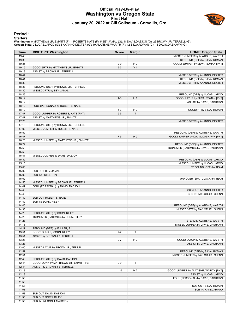## **Official Play-By-Play Washington vs Oregon State First Half January 20, 2022 at Gill Coliseum - Corvallis, Ore.**



#### **Period 1**

#### **Starters:**

| Time           | <b>VISITORS: Washington</b>                                       | <b>Score</b> | <b>Margin</b>  | <b>HOME: Oregon State</b>              |
|----------------|-------------------------------------------------------------------|--------------|----------------|----------------------------------------|
| 19:40          |                                                                   |              |                | MISSED JUMPER by ALATISHE, WARITH      |
| 19:36          |                                                                   |              |                | REBOUND (OFF) by SILVA, ROMAN          |
| 19:35          |                                                                   | $2 - 0$      | H <sub>2</sub> | GOOD! JUMPER by SILVA, ROMAN [PNT]     |
| 19:19          | GOOD! 3PTR by MATTHEWS JR., EMMITT                                | $2 - 3$      | V <sub>1</sub> |                                        |
| 19:19          | ASSIST by BROWN JR., TERRELL                                      |              |                |                                        |
| 18:44          |                                                                   |              |                | MISSED 3PTR by AKANNO, DEXTER          |
| 18:41          |                                                                   |              |                | REBOUND (OFF) by SILVA, ROMAN          |
| 18:39          |                                                                   |              |                | MISSED 3PTR by AKANNO, DEXTER          |
| 18:33          | REBOUND (DEF) by BROWN JR., TERRELL                               |              |                |                                        |
| 18:30          | MISSED 3PTR by BEY, JAMAL                                         |              |                |                                        |
| 18:26          |                                                                   |              |                | REBOUND (DEF) by LUCAS, JAROD          |
| 18:12          |                                                                   | $4 - 3$      | H <sub>1</sub> | GOOD! LAYUP by SILVA, ROMAN [PNT]      |
| 18:12          |                                                                   |              |                | ASSIST by DAVIS, DASHAWN               |
| 18:12          | FOUL (PERSONAL) by ROBERTS, NATE                                  |              |                |                                        |
| 18:12          |                                                                   | $5 - 3$      | H <sub>2</sub> | GOOD! FT by SILVA, ROMAN               |
| 17:47          | GOOD! JUMPER by ROBERTS, NATE [PNT]                               | $5 - 5$      | T              |                                        |
| 17:47<br>17:20 | ASSIST by MATTHEWS JR., EMMITT                                    |              |                | MISSED 3PTR by AKANNO, DEXTER          |
| 17:15          | REBOUND (DEF) by BROWN JR., TERRELL                               |              |                |                                        |
| 17:02          | MISSED JUMPER by ROBERTS, NATE                                    |              |                |                                        |
| 16:59          |                                                                   |              |                | REBOUND (DEF) by ALATISHE, WARITH      |
| 16:47          |                                                                   | $7 - 5$      | H <sub>2</sub> | GOOD! JUMPER by DAVIS, DASHAWN [PNT]   |
| 16:26          | MISSED JUMPER by MATTHEWS JR., EMMITT                             |              |                |                                        |
| 16:22          |                                                                   |              |                | REBOUND (DEF) by AKANNO, DEXTER        |
| 15:59          |                                                                   |              |                | TURNOVER (BADPASS) by DAVIS, DASHAWN   |
| 15:59          |                                                                   |              |                |                                        |
| 15:41          | MISSED JUMPER by DAVIS, DAEJON                                    |              |                |                                        |
| 15:39          |                                                                   |              |                | REBOUND (DEF) by LUCAS, JAROD          |
| 15:10          |                                                                   |              |                | MISSED JUMPER by LUCAS, JAROD          |
| 15:03          |                                                                   |              |                | REBOUND (OFF) by TEAM                  |
| 15:02          | SUB OUT: BEY, JAMAL                                               |              |                |                                        |
| 15:02          | SUB IN: FULLER, PJ                                                |              |                |                                        |
| 15:02          |                                                                   |              |                | TURNOVER (SHOTCLOCK) by TEAM           |
| 14:50          | MISSED JUMPER by BROWN JR., TERRELL                               |              |                |                                        |
| 14:49          | FOUL (PERSONAL) by DAVIS, DAEJON                                  |              |                |                                        |
| 14:49          |                                                                   |              |                | SUB OUT: AKANNO, DEXTER                |
| 14:49          |                                                                   |              |                | SUB IN: TAYLOR JR., GLENN              |
| 14:49          | SUB OUT: ROBERTS, NATE                                            |              |                |                                        |
| 14:49          | SUB IN: SORN, RILEY                                               |              |                |                                        |
| 14:45          |                                                                   |              |                | REBOUND (DEF) by ALATISHE, WARITH      |
| 14:33          |                                                                   |              |                | MISSED 3PTR by TAYLOR JR., GLENN       |
| 14:28<br>14:28 | REBOUND (DEF) by SORN, RILEY<br>TURNOVER (BADPASS) by SORN, RILEY |              |                |                                        |
| 14:28          |                                                                   |              |                | STEAL by ALATISHE, WARITH              |
| 14:15          |                                                                   |              |                | MISSED JUMPER by DAVIS, DASHAWN        |
| 14:11          | REBOUND (DEF) by FULLER, PJ                                       |              |                |                                        |
| 13:51          | GOOD! DUNK by SORN, RILEY                                         | $7 - 7$      | T              |                                        |
| 13:51          | ASSIST by BROWN JR., TERRELL                                      |              |                |                                        |
| 13:28          |                                                                   | $9 - 7$      | H <sub>2</sub> | GOOD! LAYUP by ALATISHE, WARITH        |
| 13:28          |                                                                   |              |                | ASSIST by DAVIS, DASHAWN               |
| 13:00          | MISSED LAYUP by BROWN JR., TERRELL                                |              |                |                                        |
| 12:57          |                                                                   |              |                | REBOUND (DEF) by SILVA, ROMAN          |
| 12:51          |                                                                   |              |                | MISSED JUMPER by TAYLOR JR., GLENN     |
| 12:48          | REBOUND (DEF) by DAVIS, DAEJON                                    |              |                |                                        |
| 12:44          | GOOD! DUNK by MATTHEWS JR., EMMITT [FB]                           | $9-9$        | T              |                                        |
| 12:44          | ASSIST by BROWN JR., TERRELL                                      |              |                |                                        |
| 12:13          |                                                                   | $11-9$       | H <sub>2</sub> | GOOD! JUMPER by ALATISHE, WARITH [PNT] |
| 12:13          |                                                                   |              |                | ASSIST by LUCAS, JAROD                 |
| 11:58          |                                                                   |              |                | FOUL (PERSONAL) by DAVIS, DASHAWN      |
| 11:58          |                                                                   |              |                |                                        |
| 11:58          |                                                                   |              |                | SUB OUT: SILVA, ROMAN                  |
| 11:58          |                                                                   |              |                | SUB IN: RAND, AHMAD                    |
| 11:58          | SUB OUT: DAVIS, DAEJON                                            |              |                |                                        |
| 11:58          | SUB OUT: SORN, RILEY                                              |              |                |                                        |
| 11:58          | SUB IN: WILSON, LANGSTON                                          |              |                |                                        |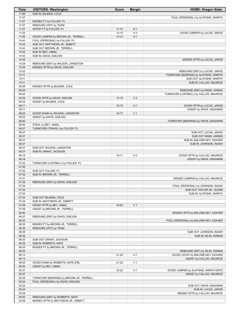| <b>Time</b>    | <b>VISITORS: Washington</b>                                                  | <b>Score</b>           | <b>Margin</b>           | <b>HOME: Oregon State</b>                            |
|----------------|------------------------------------------------------------------------------|------------------------|-------------------------|------------------------------------------------------|
| 11:58          | SUB IN: BAJEMA, COLE                                                         |                        |                         |                                                      |
| 11:57          |                                                                              |                        |                         | FOUL (PERSONAL) by ALATISHE, WARITH                  |
| 11:57          | MISSED FT by FULLER, PJ                                                      |                        |                         |                                                      |
| 11:57          | REBOUND (OFF) by TEAM                                                        |                        |                         |                                                      |
| 11:57<br>11:25 | GOOD! FT by FULLER, PJ                                                       | $11 - 10$              | H <sub>1</sub><br>$H_3$ |                                                      |
| 11:08          | GOOD! JUMPER by BROWN JR., TERRELL                                           | $13 - 10$<br>$13 - 12$ | H <sub>1</sub>          | GOOD! JUMPER by LUCAS, JAROD                         |
| 10:43          | FOUL (PERSONAL) by FULLER, PJ                                                |                        |                         |                                                      |
| 10:43          | SUB OUT: MATTHEWS JR., EMMITT                                                |                        |                         |                                                      |
| 10:43          | SUB OUT: BROWN JR., TERRELL                                                  |                        |                         |                                                      |
| 10:43          | SUB IN: BEY, JAMAL                                                           |                        |                         |                                                      |
| 10:43          | SUB IN: DAVIS, DAEJON                                                        |                        |                         |                                                      |
| 10:35          |                                                                              |                        |                         | MISSED 3PTR by LUCAS, JAROD                          |
| 10:28          | REBOUND (DEF) by WILSON, LANGSTON                                            |                        |                         |                                                      |
| 10:26          | MISSED 3PTR by DAVIS, DAEJON                                                 |                        |                         |                                                      |
| 10:22          |                                                                              |                        |                         | REBOUND (DEF) by LUCAS, JAROD                        |
| 10:11          |                                                                              |                        |                         | TURNOVER (BADPASS) by ALATISHE, WARITH               |
| 10:11<br>10:11 |                                                                              |                        |                         | SUB OUT: ALATISHE, WARITH<br>SUB IN: CALLOO, MAURICE |
| 09:59          | MISSED 3PTR by BAJEMA, COLE                                                  |                        |                         |                                                      |
| 09:54          |                                                                              |                        |                         | REBOUND (DEF) by RAND, AHMAD                         |
| 09:45          |                                                                              |                        |                         | TURNOVER (LOSTBALL) by CALLOO, MAURICE               |
| 09:25          | GOOD! 3PTR by DAVIS, DAEJON                                                  | $13 - 15$              | V <sub>2</sub>          |                                                      |
| 09:25          | ASSIST by BAJEMA, COLE                                                       |                        |                         |                                                      |
| 09:11          |                                                                              | $16-15$                | H <sub>1</sub>          | GOOD! 3PTR by LUCAS, JAROD                           |
| 09:11          |                                                                              |                        |                         | ASSIST by DAVIS, DASHAWN                             |
| 08:53          | GOOD! DUNK by WILSON, LANGSTON                                               | $16-17$                | V <sub>1</sub>          |                                                      |
| 08:53          | ASSIST by DAVIS, DAEJON                                                      |                        |                         |                                                      |
| 08:40          |                                                                              |                        |                         | TURNOVER (BADPASS) by DAVIS, DASHAWN                 |
| 08:40          | STEAL by BEY, JAMAL                                                          |                        |                         |                                                      |
| 08:37          | TURNOVER (TRAVEL) by FULLER, PJ                                              |                        |                         |                                                      |
| 08:37<br>08:37 |                                                                              |                        |                         | SUB OUT: LUCAS, JAROD<br>SUB OUT: RAND, AHMAD        |
| 08:37          |                                                                              |                        |                         | SUB IN: MALONE-KEY, XZAVIER                          |
| 08:37          |                                                                              |                        |                         | SUB IN: JOHNSON, ISAIAH                              |
| 08:37          | SUB OUT: WILSON, LANGSTON                                                    |                        |                         |                                                      |
| 08:37          | SUB IN: GRANT, JACKSON                                                       |                        |                         |                                                      |
| 08:18          |                                                                              | 19-17                  | H <sub>2</sub>          | GOOD! 3PTR by CALLOO, MAURICE                        |
| 08:18          |                                                                              |                        |                         | ASSIST by DAVIS, DASHAWN                             |
| 07:52          | TURNOVER (LOSTBALL) by FULLER, PJ                                            |                        |                         |                                                      |
| 07:52          |                                                                              |                        |                         |                                                      |
| 07:52          | SUB OUT: FULLER, PJ                                                          |                        |                         |                                                      |
| 07:52          | SUB IN: BROWN JR., TERRELL                                                   |                        |                         |                                                      |
| 07:41          |                                                                              |                        |                         | MISSED JUMPER by CALLOO, MAURICE                     |
| 07:38<br>07:24 | REBOUND (DEF) by DAVIS, DAEJON                                               |                        |                         | FOUL (PERSONAL) by JOHNSON, ISAIAH                   |
| 07:24          |                                                                              |                        |                         | SUB OUT: TAYLOR JR., GLENN                           |
| 07:24          |                                                                              |                        |                         | SUB IN: ALATISHE, WARITH                             |
| 07:24          | SUB OUT: BAJEMA, COLE                                                        |                        |                         |                                                      |
| 07:24          | SUB IN: MATTHEWS JR., EMMITT                                                 |                        |                         |                                                      |
| 07:09          | GOOD! 3PTR by BEY, JAMAL                                                     | 19-20                  | V <sub>1</sub>          |                                                      |
| 07:09          | ASSIST by BROWN JR., TERRELL                                                 |                        |                         |                                                      |
| 06:40          |                                                                              |                        |                         | MISSED 3PTR by MALONE-KEY, XZAVIER                   |
| 06:37          | REBOUND (DEF) by DAVIS, DAEJON                                               |                        |                         |                                                      |
| 06:35          |                                                                              |                        |                         | FOUL (PERSONAL) by MALONE-KEY, XZAVIER               |
| 06:35          | MISSED FT by BROWN JR., TERRELL                                              |                        |                         |                                                      |
| 06:35<br>06:35 | REBOUND (OFF) by TEAM                                                        |                        |                         | SUB OUT: JOHNSON, ISAIAH                             |
| 06:35          |                                                                              |                        |                         | SUB IN: SILVA, ROMAN                                 |
| 06:35          | SUB OUT: GRANT, JACKSON                                                      |                        |                         |                                                      |
| 06:35          | SUB IN: ROBERTS, NATE                                                        |                        |                         |                                                      |
| 06:35          | MISSED FT by BROWN JR., TERRELL                                              |                        |                         |                                                      |
| 06:35          |                                                                              |                        |                         | REBOUND (DEF) by SILVA, ROMAN                        |
| 06:13          |                                                                              | $21 - 20$              | H <sub>1</sub>          | GOOD! LAYUP by MALONE-KEY, XZAVIER                   |
| 06:13          |                                                                              |                        |                         | ASSIST by CALLOO, MAURICE                            |
| 06:05          | GOOD! DUNK by ROBERTS, NATE [FB]                                             | 21-22                  | V <sub>1</sub>          |                                                      |
| 06:05          | ASSIST by BEY, JAMAL                                                         |                        |                         |                                                      |
| 05:37          |                                                                              | 23-22                  | H <sub>1</sub>          | GOOD! JUMPER by ALATISHE, WARITH [PNT]               |
| 05:37<br>05:29 |                                                                              |                        |                         | ASSIST by CALLOO, MAURICE                            |
| 05:24          | TURNOVER (BADPASS) by BROWN JR., TERRELL<br>FOUL (PERSONAL) by DAVIS, DAEJON |                        |                         |                                                      |
| 05:24          |                                                                              |                        |                         | SUB OUT: DAVIS, DASHAWN                              |
| 05:24          |                                                                              |                        |                         | SUB IN: LUCAS, JAROD                                 |
| 05:08          |                                                                              |                        |                         | MISSED 3PTR by CALLOO, MAURICE                       |
| 05:03          | REBOUND (DEF) by ROBERTS, NATE                                               |                        |                         |                                                      |
| 04:56          | MISSED 3PTR by MATTHEWS JR., EMMITT                                          |                        |                         |                                                      |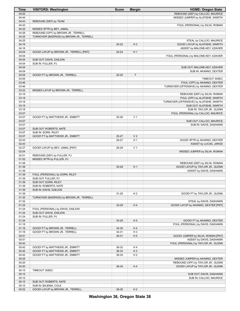| <b>Time</b>    | <b>VISITORS: Washington</b>                                      | <b>Score</b> | <b>Margin</b>  | <b>HOME: Oregon State</b>                                       |
|----------------|------------------------------------------------------------------|--------------|----------------|-----------------------------------------------------------------|
| 04:52          |                                                                  |              |                | REBOUND (DEF) by CALLOO, MAURICE                                |
| 04:44          |                                                                  |              |                | MISSED JUMPER by ALATISHE, WARITH                               |
| 04:43          | REBOUND (DEF) by TEAM                                            |              |                |                                                                 |
| 04:43          |                                                                  |              |                | FOUL (PERSONAL) by SILVA, ROMAN                                 |
| 04:32<br>04:26 | MISSED 3PTR by BEY, JAMAL<br>REBOUND (OFF) by BROWN JR., TERRELL |              |                |                                                                 |
| 04:25          | TURNOVER (BADPASS) by BROWN JR., TERRELL                         |              |                |                                                                 |
| 04:25          |                                                                  |              |                | STEAL by CALLOO, MAURICE                                        |
| 04:16          |                                                                  | $25 - 22$    | $H_3$          | GOOD! LAYUP by ALATISHE, WARITH                                 |
| 04:16          |                                                                  |              |                | ASSIST by MALONE-KEY, XZAVIER                                   |
| 04:04          | GOOD! LAYUP by BROWN JR., TERRELL [PNT]                          | $25 - 24$    | H <sub>1</sub> |                                                                 |
| 04:04          |                                                                  |              |                | FOUL (PERSONAL) by MALONE-KEY, XZAVIER                          |
| 04:04          | SUB OUT: DAVIS, DAEJON                                           |              |                |                                                                 |
| 04:04          | SUB IN: FULLER, PJ                                               |              |                |                                                                 |
| 04:04          |                                                                  |              |                | SUB OUT: MALONE-KEY, XZAVIER                                    |
| 04:04          |                                                                  |              |                | SUB IN: AKANNO, DEXTER                                          |
| 04:04          | GOOD! FT by BROWN JR., TERRELL                                   | $25 - 25$    | T              |                                                                 |
| 03:55<br>03:46 |                                                                  |              |                | TIMEOUT 30SEC<br>FOUL (OFF) by AKANNO, DEXTER                   |
| 03:46          |                                                                  |              |                | TURNOVER (OFFENSIVE) by AKANNO, DEXTER                          |
| 03:22          | MISSED LAYUP by BROWN JR., TERRELL                               |              |                |                                                                 |
| 03:19          |                                                                  |              |                | REBOUND (DEF) by SILVA, ROMAN                                   |
| 03:18          |                                                                  |              |                | FOUL (OFF) by ALATISHE, WARITH                                  |
| 03:18          |                                                                  |              |                | TURNOVER (OFFENSIVE) by ALATISHE, WARITH                        |
| 03:18          |                                                                  |              |                | SUB OUT: ALATISHE, WARITH                                       |
| 03:18          |                                                                  |              |                | SUB IN: TAYLOR JR., GLENN                                       |
| 03:07          |                                                                  |              |                | FOUL (PERSONAL) by CALLOO, MAURICE                              |
| 03:07          | GOOD! FT by MATTHEWS JR., EMMITT                                 | 25-26        | V <sub>1</sub> |                                                                 |
| 03:07          |                                                                  |              |                | SUB OUT: CALLOO, MAURICE                                        |
| 03:07          |                                                                  |              |                | SUB IN: DAVIS, DASHAWN                                          |
| 03:07<br>03:07 | SUB OUT: ROBERTS, NATE<br>SUB IN: SORN, RILEY                    |              |                |                                                                 |
| 03:07          | GOOD! FT by MATTHEWS JR., EMMITT                                 | $25 - 27$    | V <sub>2</sub> |                                                                 |
| 02:43          |                                                                  | 28-27        | H <sub>1</sub> | GOOD! 3PTR by AKANNO, DEXTER                                    |
| 02:43          |                                                                  |              |                | ASSIST by LUCAS, JAROD                                          |
| 02:27          | GOOD! LAYUP by BEY, JAMAL [PNT]                                  | 28-29        | V <sub>1</sub> |                                                                 |
| 02:04          |                                                                  |              |                | MISSED JUMPER by SILVA, ROMAN                                   |
| 02:01          | REBOUND (DEF) by FULLER, PJ                                      |              |                |                                                                 |
| 01:52          | MISSED 3PTR by FULLER, PJ                                        |              |                |                                                                 |
| 01:48          |                                                                  |              |                | REBOUND (DEF) by SILVA, ROMAN                                   |
| 01:39          |                                                                  | 30-29        | H <sub>1</sub> | GOOD! LAYUP by TAYLOR JR., GLENN                                |
| 01:39<br>01:39 | FOUL (PERSONAL) by SORN, RILEY                                   |              |                | ASSIST by DAVIS, DASHAWN                                        |
| 01:39          | SUB OUT: FULLER, PJ                                              |              |                |                                                                 |
| 01:39          | SUB OUT: SORN, RILEY                                             |              |                |                                                                 |
| 01:39          | SUB IN: ROBERTS, NATE                                            |              |                |                                                                 |
| 01:39          | SUB IN: DAVIS, DAEJON                                            |              |                |                                                                 |
| 01:39          |                                                                  | 31-29        | H <sub>2</sub> | GOOD! FT by TAYLOR JR., GLENN                                   |
| 01:32          | TURNOVER (BADPASS) by BROWN JR., TERRELL                         |              |                |                                                                 |
| 01:32          |                                                                  |              |                | STEAL by DAVIS, DASHAWN                                         |
| 01:24          |                                                                  | 33-29        | H4             | GOOD! LAYUP by AKANNO, DEXTER [PNT]                             |
| 01:24          | FOUL (PERSONAL) by DAVIS, DAEJON                                 |              |                |                                                                 |
| 01:24          | SUB OUT: DAVIS, DAEJON                                           |              |                |                                                                 |
| 01:24          | SUB IN: FULLER, PJ                                               |              |                |                                                                 |
| 01:24<br>01:18 |                                                                  | 34-29        | H <sub>5</sub> | GOOD! FT by AKANNO, DEXTER<br>FOUL (PERSONAL) by DAVIS, DASHAWN |
| 01:18          | GOOD! FT by BROWN JR., TERRELL                                   | 34-30        | H4             |                                                                 |
| 01:18          | GOOD! FT by BROWN JR., TERRELL                                   | 34-31        | $H_3$          |                                                                 |
| 00:51          |                                                                  | 36-31        | H <sub>5</sub> | GOOD! JUMPER by SILVA, ROMAN [PNT]                              |
| 00:51          |                                                                  |              |                | ASSIST by DAVIS, DASHAWN                                        |
| 00:42          |                                                                  |              |                | FOUL (PERSONAL) by TAYLOR JR., GLENN                            |
| 00:42          | GOOD! FT by MATTHEWS JR., EMMITT                                 | 36-32        | H 4            |                                                                 |
| 00:42          | GOOD! FT by MATTHEWS JR., EMMITT                                 | 36-33        | $H_3$          |                                                                 |
| 00:42          | GOOD! FT by MATTHEWS JR., EMMITT                                 | 36-34        | H <sub>2</sub> |                                                                 |
| 00:25          |                                                                  |              |                | MISSED JUMPER by AKANNO, DEXTER                                 |
| 00:20          |                                                                  |              |                | REBOUND (OFF) by TAYLOR JR., GLENN                              |
| 00:20          |                                                                  | 38-34        | H4             | GOOD! LAYUP by TAYLOR JR., GLENN                                |
| 00:15          | TIMEOUT 30SEC                                                    |              |                |                                                                 |
| 00:15          |                                                                  |              |                | SUB OUT: DAVIS, DASHAWN                                         |
| 00:15          |                                                                  |              |                | SUB IN: CALLOO, MAURICE                                         |
| 00:15          | SUB OUT: ROBERTS, NATE                                           |              |                |                                                                 |
| 00:15<br>00:02 | SUB IN: BAJEMA, COLE<br>GOOD! LAYUP by BROWN JR., TERRELL        | 38-36        | H <sub>2</sub> |                                                                 |
|                |                                                                  |              |                |                                                                 |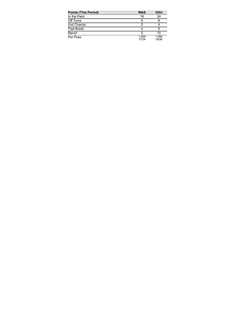| <b>Points (This Period)</b> | <b>WAS</b>     | OSU            |
|-----------------------------|----------------|----------------|
| In the Paint                | 16             | 24             |
| Off Turns                   | 5              |                |
| 2nd Chance                  |                |                |
| <b>Fast Break</b>           |                |                |
| Bench                       | 5              | 10             |
| Per Poss                    | 1.059<br>17/34 | 1.056<br>18/36 |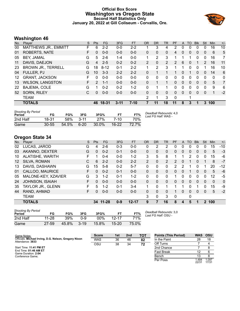## **Official Box Score Washington vs Oregon State Second Half Statistics Only January 20, 2022 at Gill Coliseum - Corvallis, Ore.**



# **Washington 46**

| No. | Player                    | S  | <b>Pts</b>    | <b>FG</b> | 3FG      | <b>FT</b> | <b>OR</b>      | <b>DR</b> | <b>TR</b>      | PF            | A            | T <sub>O</sub> | <b>Blk</b>   | Stl          | Min | $+/-$ |
|-----|---------------------------|----|---------------|-----------|----------|-----------|----------------|-----------|----------------|---------------|--------------|----------------|--------------|--------------|-----|-------|
| 00  | MATTHEWS JR., EMMITT      | F  | 6             | $2 - 2$   | $0-0$    | 2-2       |                | 3         | 4              | 2             | 0            | 0              | 0            | 0            | 16  | 10    |
| 01  | <b>ROBERTS, NATE</b>      | F. | $\Omega$      | $0 - 0$   | $0 - 0$  | $0 - 0$   | 0              | $\Omega$  | $\mathbf{0}$   | 4             | 0            | 0              | 0            | 0            | 6   | 5     |
| 05  | BEY, JAMAL                | G  | 5             | $2 - 6$   | $1 - 4$  | $0-0$     | 1              | 2         | 3              | 1             |              |                | 0            | 0            | 16  | 7     |
| 11  | DAVIS, DAEJON             | G  | 4             | $2 - 5$   | $0 - 2$  | $0 - 2$   | $\overline{2}$ | $\Omega$  | $\overline{2}$ | $\mathcal{P}$ | 6            | $\mathbf{0}$   | 1            | 2            | 16  | 11    |
| 23  | <b>BROWN JR., TERRELL</b> | G  | 18            | $8 - 12$  | $0 - 1$  | $2 - 2$   |                | 2         | 3              |               |              | $\Omega$       | $\Omega$     |              | 16  | 10    |
| 04  | FULLER, PJ                | G  | 10            | $3 - 3$   | $2 - 2$  | $2 - 2$   | 0              |           |                |               | 0            |                | $\mathbf{0}$ | $\mathbf{0}$ | 14  | 6     |
| 12  | <b>GRANT, JACKSON</b>     | F. | 0             | $0 - 0$   | $0 - 0$  | $0 - 0$   | 0              | 0         | 0              | 0             | 0            | 0              | 0            | 0            | 0   | 0     |
| 13  | <b>WILSON, LANGSTON</b>   | F. | $\mathcal{P}$ | $1 - 1$   | $0 - 0$  | $0 - 0$   | 0              | 1         | 1              | 0             | $\mathbf{0}$ | 0              | $\mathbf{0}$ | $\mathbf{0}$ | 5   | 7     |
| 22  | BAJEMA, COLE              | G  | 1             | $0 - 2$   | $0 - 2$  | $1 - 2$   | 0              | 1         | 1              | 0             | 0            | 0              | $\Omega$     | 0            | 9   | 6     |
| 52  | SORN, RILEY               | C. | 0             | $0 - 0$   | $0 - 0$  | $0 - 0$   | 0              | 0         | $\mathbf{0}$   | 0             | $\Omega$     | $\mathbf{0}$   | $\mathbf{0}$ | $\mathbf{0}$ | 1   | $-2$  |
|     | <b>TEAM</b>               |    |               |           |          |           | 2              | 1         | 3              | $\mathbf 0$   |              |                |              |              |     |       |
|     | <b>TOTALS</b>             |    | 46            | 18-31     | $3 - 11$ | $7 - 10$  |                | 11        | 18             | 11            | 8            | 3              |              | 3            | 100 |       |
|     |                           |    |               |           |          |           |                |           |                |               |              |                |              |              |     |       |

| <b>Shooting By Period</b><br>Period | FG        | FG%   | 3FG    | 3FG%  |         | FT%   | Deadball Rebounds: 4,0<br>Last FG Half: WAS - |
|-------------------------------------|-----------|-------|--------|-------|---------|-------|-----------------------------------------------|
| 2nd Half                            | 18-31     | 58%   | $3-11$ | 27%   | 7-10    | 70%   |                                               |
| Game                                | $30 - 55$ | 54.5% | 6-20   | 30.0% | $16-22$ | 72.7% |                                               |

# **Oregon State 34**

| No.               | Player                 | S  | <b>Pts</b>       | <b>FG</b> | 3FG     | <b>FT</b> | <b>OR</b>      | <b>DR</b> | TR           | <b>PF</b>     | A        | <b>TO</b>             | <b>B</b> lk    | Stl      | Min   | $+/-$        |
|-------------------|------------------------|----|------------------|-----------|---------|-----------|----------------|-----------|--------------|---------------|----------|-----------------------|----------------|----------|-------|--------------|
| 02                | LUCAS, JAROD           | G  | 4                | $2-6$     | $0 - 3$ | $0 - 0$   | 0              | 2         | 2            |               | 0        | 0                     | 0              | 0        | 15    | $-10$        |
| 03                | AKANNO, DEXTER         | G  | $\Omega$         | $0 - 2$   | $0 - 1$ | $0 - 0$   | 0              | 0         | 0            | 0             | 0        | 0                     | $\overline{0}$ | 0        | 5     | $-3$         |
| 10                | ALATISHE, WARITH       | F  |                  | $0 - 4$   | $0 - 0$ | $1 - 2$   | 3              | 5         | 8            |               | 1        | $\mathbf{2}^{\prime}$ | 0              | 0        | 15    | -6           |
| $12 \overline{ }$ | SILVA, ROMAN           | С  | 6                | $2 - 2$   | $0 - 0$ | $2 - 2$   | $\overline{2}$ | 0         | 2            | $\mathcal{P}$ | $\Omega$ |                       | 0              |          | 8     | $-7$         |
| 13                | DAVIS, DASHAWN         | G  | 15 <sup>15</sup> | $5-8$     | $0 - 2$ | $5 - 7$   | 0              | 0         | $\Omega$     | 2             | 2        |                       | 0              |          | 20    | $-12$        |
| 01                | CALLOO, MAURICE        | F  | $\Omega$         | $0 - 2$   | $0 - 1$ | $0 - 0$   | $\Omega$       | $\Omega$  | $\Omega$     | $\Omega$      | $\Omega$ |                       | $\Omega$       | 0        | 5     | -6           |
| 05                | MALONE-KEY, XZAVIER    | G  | 3                | $1 - 2$   | $0 - 1$ | $1 - 2$   | 0              | 0         | $\Omega$     |               | 0        | 0                     | 0              | 0        | 12    | -5           |
| 24                | <b>JOHNSON, ISAIAH</b> | F. | $\Omega$         | $0 - 0$   | $0 - 0$ | $0 - 0$   | $\Omega$       | 0         | $\mathbf{0}$ | $\Omega$      | 0        | 0                     | 0              | 0        | 0     | $\mathbf{0}$ |
| 35                | TAYLOR JR., GLENN      | F  | 5                | $1 - 2$   | $0 - 1$ | $3 - 4$   | 1              | 0         |              |               | 1        | 0                     |                | ი        | 15    | -9           |
| 44                | RAND, AHMAD            | F. | 0                | $0 - 0$   | $0 - 0$ | $0 - 0$   | 0              | 0         | $\Omega$     |               | $\Omega$ | 0                     | $\Omega$       | $\Omega$ | 5     | $-2$         |
|                   | <b>TEAM</b>            |    |                  |           |         |           | 3              | 0         | 3            | $\Omega$      |          | 0                     |                |          |       |              |
|                   | <b>TOTALS</b>          |    | 34               | $11 - 28$ | $0 - 9$ | $12 - 17$ | 9              | 7         | 16           | 8             | 4        | 5                     |                |          | 2 100 |              |

| <b>Shooting By Period</b><br>Period | FG        | FG%   | 3FG      | 3FG%  | FТ        | FT%   |
|-------------------------------------|-----------|-------|----------|-------|-----------|-------|
| 2nd Half                            | $11 - 28$ | 39%   | ი-9      | 00%   | $12 - 17$ | 71%   |
| Game                                | 27-59     | 45.8% | $3 - 19$ | 15.8% | $15 - 20$ | 75.0% |

*Deadball Rebounds:* 3,0 *Last FG Half:* OSU -

| Game Notes:                                                               | <b>Score</b> | 1st | 2 <sub>nd</sub> | TOT | <b>Points (This Period)</b> | WAS OSU        |                |
|---------------------------------------------------------------------------|--------------|-----|-----------------|-----|-----------------------------|----------------|----------------|
| Officials: Michael Irving, D.G. Nelson, Gregory Nixon<br>Attendance: 3833 | <b>WAS</b>   | 36  | 46              | 82  | In the Paint                | 28             | 18             |
|                                                                           | OSU          | 38  | 34              | 72  | Off Turns                   |                |                |
| Start Time: 11:41 PM ET                                                   |              |     |                 |     | 2nd Chance                  |                |                |
| End Time: 01:46 AM ET<br>Game Duration: 2:04                              |              |     |                 |     | Fast Break                  |                |                |
| Conference Game;                                                          |              |     |                 |     | Bench                       |                |                |
|                                                                           |              |     |                 |     | Per Poss                    | 1.484<br>22/31 | 1.097<br>17/31 |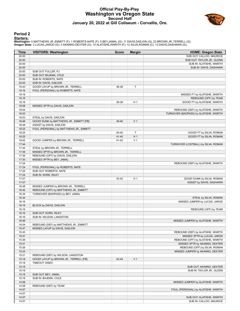#### **Official Play-By-Play Washington vs Oregon State Second Half January 20, 2022 at Gill Coliseum - Corvallis, Ore.**



#### **Period 2**

#### **Starters:**

| Time           | <b>VISITORS: Washington</b>                                         | <b>Score</b> | <b>Margin</b>  | <b>HOME: Oregon State</b>              |
|----------------|---------------------------------------------------------------------|--------------|----------------|----------------------------------------|
| 20:00          |                                                                     |              |                | SUB OUT: CALLOO, MAURICE               |
| 20:00          |                                                                     |              |                | SUB OUT: TAYLOR JR., GLENN             |
| 20:00          |                                                                     |              |                | SUB IN: ALATISHE, WARITH               |
| 20:00          |                                                                     |              |                | SUB IN: DAVIS, DASHAWN                 |
| 20:00          | SUB OUT: FULLER, PJ                                                 |              |                |                                        |
| 20:00          | SUB OUT: BAJEMA, COLE                                               |              |                |                                        |
| 20:00          | SUB IN: ROBERTS, NATE                                               |              |                |                                        |
| 20:00          | SUB IN: DAVIS, DAEJON                                               |              |                |                                        |
| 19:43          | GOOD! LAYUP by BROWN JR., TERRELL                                   | 38-38        | Т              |                                        |
| 19:16          | FOUL (PERSONAL) by ROBERTS, NATE                                    |              |                |                                        |
| 19:16          |                                                                     |              |                | MISSED FT by ALATISHE, WARITH          |
| 19:16          |                                                                     |              |                | REBOUND (OFF) by TEAM                  |
| 19:16          |                                                                     | 39-38        | H <sub>1</sub> | GOOD! FT by ALATISHE, WARITH           |
| 18:58          | MISSED 3PTR by DAVIS, DAEJON                                        |              |                |                                        |
| 18:54          |                                                                     |              |                | REBOUND (DEF) by ALATISHE, WARITH      |
| 18:53          |                                                                     |              |                | TURNOVER (BADPASS) by ALATISHE, WARITH |
| 18:53          | STEAL by DAVIS, DAEJON                                              |              |                |                                        |
| 18:48          | GOOD! DUNK by MATTHEWS JR., EMMITT [FB]                             | 39-40        | V <sub>1</sub> |                                        |
| 18:48          | ASSIST by DAVIS, DAEJON                                             |              |                |                                        |
| 18:25<br>18:25 | FOUL (PERSONAL) by MATTHEWS JR., EMMITT                             |              | T              | GOOD! FT by SILVA, ROMAN               |
|                |                                                                     | 40-40        | H <sub>1</sub> |                                        |
| 18:25          |                                                                     | 41-40        |                | GOOD! FT by SILVA, ROMAN               |
| 18:02          | GOOD! JUMPER by BROWN JR., TERRELL                                  | 41-42        | V <sub>1</sub> |                                        |
| 17:44          | STEAL by BROWN JR., TERRELL                                         |              |                | TURNOVER (LOSTBALL) by SILVA, ROMAN    |
| 17:44          |                                                                     |              |                |                                        |
| 17:39<br>17:35 | MISSED 3PTR by BROWN JR., TERRELL<br>REBOUND (OFF) by DAVIS, DAEJON |              |                |                                        |
| 17:30          | MISSED 3PTR by BEY, JAMAL                                           |              |                |                                        |
| 17:24          |                                                                     |              |                | REBOUND (DEF) by ALATISHE, WARITH      |
| 17:24          | FOUL (PERSONAL) by ROBERTS, NATE                                    |              |                |                                        |
| 17:24          | SUB OUT: ROBERTS, NATE                                              |              |                |                                        |
| 17:24          | SUB IN: SORN, RILEY                                                 |              |                |                                        |
| 17:07          |                                                                     | 43-42        | H <sub>1</sub> | GOOD! DUNK by SILVA, ROMAN             |
| 17:07          |                                                                     |              |                | ASSIST by DAVIS, DASHAWN               |
| 16:48          | MISSED JUMPER by BROWN JR., TERRELL                                 |              |                |                                        |
| 16:42          | REBOUND (OFF) by MATTHEWS JR., EMMITT                               |              |                |                                        |
| 16:34          | TURNOVER (BADPASS) by BEY, JAMAL                                    |              |                |                                        |
| 16:34          |                                                                     |              |                | STEAL by SILVA, ROMAN                  |
| 16:16          |                                                                     |              |                | MISSED JUMPER by LUCAS, JAROD          |
| 16:16          | BLOCK by DAVIS, DAEJON                                              |              |                |                                        |
| 16:16          |                                                                     |              |                | REBOUND (OFF) by TEAM                  |
| 16:16          | SUB OUT: SORN, RILEY                                                |              |                |                                        |
| 16:16          | SUB IN: WILSON, LANGSTON                                            |              |                |                                        |
| 16:06          |                                                                     |              |                | MISSED JUMPER by ALATISHE, WARITH      |
| 16:04          | REBOUND (DEF) by MATTHEWS JR., EMMITT                               |              |                |                                        |
| 15:47          | MISSED LAYUP by DAVIS, DAEJON                                       |              |                |                                        |
| 15:43          |                                                                     |              |                | REBOUND (DEF) by ALATISHE, WARITH      |
| 15:41          |                                                                     |              |                | MISSED 3PTR by LUCAS, JAROD            |
| 15:36          |                                                                     |              |                | REBOUND (OFF) by ALATISHE, WARITH      |
| 15:31          |                                                                     |              |                | MISSED 3PTR by AKANNO, DEXTER          |
| 15:26          |                                                                     |              |                | REBOUND (OFF) by SILVA, ROMAN          |
| 15:24          |                                                                     |              |                | MISSED JUMPER by AKANNO, DEXTER        |
| 15:21          | REBOUND (DEF) by WILSON, LANGSTON                                   |              |                |                                        |
| 15:18          | GOOD! LAYUP by BROWN JR., TERRELL [FB]                              | 43-44        | V <sub>1</sub> |                                        |
| 15:18          | TIMEOUT 30SEC                                                       |              |                |                                        |
| 15:18          |                                                                     |              |                | SUB OUT: AKANNO, DEXTER                |
| 15:18          |                                                                     |              |                | SUB IN: TAYLOR JR., GLENN              |
| 15:18          | SUB OUT: BEY, JAMAL                                                 |              |                |                                        |
| 15:18          | SUB IN: BAJEMA, COLE                                                |              |                |                                        |
| 14:58          |                                                                     |              |                | MISSED JUMPER by ALATISHE, WARITH      |
| 14:58          | REBOUND (DEF) by TEAM                                               |              |                |                                        |
| 14:57          |                                                                     |              |                | FOUL (PERSONAL) by ALATISHE, WARITH    |
| 14:57          |                                                                     |              |                |                                        |
| 14:57          |                                                                     |              |                | SUB OUT: ALATISHE, WARITH              |
| 14:57          |                                                                     |              |                | SUB IN: CALLOO, MAURICE                |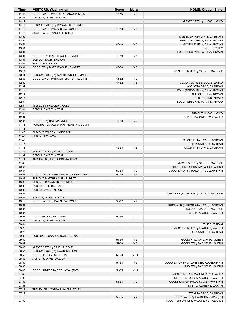| Time           | <b>VISITORS: Washington</b>             | <b>Score</b>   | <b>Margin</b>   | <b>HOME: Oregon State</b>                                               |
|----------------|-----------------------------------------|----------------|-----------------|-------------------------------------------------------------------------|
| 14:43          | GOOD! LAYUP by WILSON, LANGSTON [PNT]   | 43-46          | $V_3$           |                                                                         |
| 14:43          | ASSIST by DAVIS, DAEJON                 |                |                 |                                                                         |
| 14:19          |                                         |                |                 | MISSED 3PTR by LUCAS, JAROD                                             |
| 14:15          | REBOUND (DEF) by BROWN JR., TERRELL     |                |                 |                                                                         |
| 14:12          | GOOD! LAYUP by DAVIS, DAEJON [FB]       | 43-48          | V <sub>5</sub>  |                                                                         |
| 14:12          | ASSIST by BROWN JR., TERRELL            |                |                 |                                                                         |
| 13:55          |                                         |                |                 | MISSED 3PTR by DAVIS, DASHAWN                                           |
| 13:52          |                                         |                |                 | REBOUND (OFF) by SILVA, ROMAN                                           |
| 13:51          |                                         | 45-48          | $V_3$           | GOOD! LAYUP by SILVA, ROMAN                                             |
| 13:51          |                                         |                |                 | TIMEOUT 30SEC                                                           |
| 13:31          |                                         |                |                 | FOUL (PERSONAL) by SILVA, ROMAN                                         |
| 13:31          | GOOD! FT by MATTHEWS JR., EMMITT        | 45-49          | V <sub>4</sub>  |                                                                         |
| 13:31          | SUB OUT: DAVIS, DAEJON                  |                |                 |                                                                         |
| 13:31          | SUB IN: FULLER, PJ                      |                |                 |                                                                         |
| 13:31          | GOOD! FT by MATTHEWS JR., EMMITT        | 45-50          | V <sub>5</sub>  |                                                                         |
| 13:14          |                                         |                |                 | MISSED JUMPER by CALLOO, MAURICE                                        |
| 13:11          | REBOUND (DEF) by MATTHEWS JR., EMMITT   |                | V <sub>7</sub>  |                                                                         |
| 12:53<br>12:32 | GOOD! LAYUP by BROWN JR., TERRELL [PNT] | 45-52<br>47-52 | V <sub>5</sub>  |                                                                         |
| 12:32          |                                         |                |                 | GOOD! JUMPER by LUCAS, JAROD                                            |
| 12:14          |                                         |                |                 | ASSIST by DAVIS, DASHAWN<br>FOUL (PERSONAL) by SILVA, ROMAN             |
| 12:14          |                                         |                |                 | SUB OUT: SILVA, ROMAN                                                   |
| 12:14          |                                         |                |                 | SUB IN: RAND, AHMAD                                                     |
| 12:04          |                                         |                |                 | FOUL (PERSONAL) by RAND, AHMAD                                          |
| 12:04          | MISSED FT by BAJEMA, COLE               |                |                 |                                                                         |
| 12:04          | REBOUND (OFF) by TEAM                   |                |                 |                                                                         |
| 12:04          |                                         |                |                 | SUB OUT: LUCAS, JAROD                                                   |
| 12:04          |                                         |                |                 | SUB IN: MALONE-KEY, XZAVIER                                             |
| 12:04          | GOOD! FT by BAJEMA, COLE                | 47-53          | $V_6$           |                                                                         |
| 11:45          | FOUL (PERSONAL) by MATTHEWS JR., EMMITT |                |                 |                                                                         |
| 11:45          |                                         |                |                 |                                                                         |
| 11:45          | SUB OUT: WILSON, LANGSTON               |                |                 |                                                                         |
| 11:45          | SUB IN: BEY, JAMAL                      |                |                 |                                                                         |
| 11:45          |                                         |                |                 | MISSED FT by DAVIS, DASHAWN                                             |
| 11:45          |                                         |                |                 | REBOUND (OFF) by TEAM                                                   |
| 11:45          |                                         | 48-53          | V <sub>5</sub>  | GOOD! FT by DAVIS, DASHAWN                                              |
| 11:36          | MISSED 3PTR by BAJEMA, COLE             |                |                 |                                                                         |
| 11:32          | REBOUND (OFF) by TEAM                   |                |                 |                                                                         |
| 11:11          | TURNOVER (SHOTCLOCK) by TEAM            |                |                 |                                                                         |
| 11:03          |                                         |                |                 | MISSED 3PTR by CALLOO, MAURICE                                          |
| 10:58          |                                         |                |                 | REBOUND (OFF) by TAYLOR JR., GLENN                                      |
| 10:57          |                                         | 50-53          | $V_3$           | GOOD! LAYUP by TAYLOR JR., GLENN [PNT]                                  |
| 10:33          | GOOD! LAYUP by BROWN JR., TERRELL [PNT] | 50-55          | V <sub>5</sub>  |                                                                         |
| 10:33          | SUB OUT: MATTHEWS JR., EMMITT           |                |                 |                                                                         |
| 10:33          | SUB OUT: BROWN JR., TERRELL             |                |                 |                                                                         |
| 10:33          | SUB IN: ROBERTS, NATE                   |                |                 |                                                                         |
| 10:33          | SUB IN: DAVIS, DAEJON                   |                |                 |                                                                         |
| 10:21          |                                         |                |                 | TURNOVER (BADPASS) by CALLOO, MAURICE                                   |
| 10:21          | STEAL by DAVIS, DAEJON                  |                |                 |                                                                         |
| 10:16          | GOOD! LAYUP by DAVIS, DAEJON [FB]       | 50-57          | V <sub>7</sub>  |                                                                         |
| 10:04          |                                         |                |                 | TURNOVER (BADPASS) by DAVIS, DASHAWN                                    |
| 10:04          |                                         |                |                 | SUB OUT: CALLOO, MAURICE                                                |
| 10:04          |                                         |                |                 | SUB IN: ALATISHE, WARITH                                                |
| 09:53          | GOOD! 3PTR by BEY, JAMAL                | 50-60          | $V$ 10          |                                                                         |
| 09:53          | ASSIST by DAVIS, DAEJON                 |                |                 |                                                                         |
| 09:44          |                                         |                |                 | <b>TIMEOUT TEAM</b>                                                     |
| 09:23          |                                         |                |                 | MISSED JUMPER by ALATISHE, WARITH                                       |
| 09:20          |                                         |                |                 | REBOUND (OFF) by TEAM                                                   |
| 09:09          | FOUL (PERSONAL) by ROBERTS, NATE        |                |                 |                                                                         |
| 09:09          |                                         | 51-60          | V <sub>9</sub>  | GOOD! FT by TAYLOR JR., GLENN                                           |
| 09:09          |                                         | 52-60          | V8              | GOOD! FT by TAYLOR JR., GLENN                                           |
| 09:00          | MISSED 3PTR by BAJEMA, COLE             |                |                 |                                                                         |
| 08:54          | REBOUND (OFF) by DAVIS, DAEJON          |                |                 |                                                                         |
| 08:53          | GOOD! 3PTR by FULLER, PJ                | 52-63          | V <sub>11</sub> |                                                                         |
| 08:53          | ASSIST by DAVIS, DAEJON                 |                |                 |                                                                         |
| 08:35          |                                         | 54-63          | V <sub>9</sub>  | GOOD! LAYUP by MALONE-KEY, XZAVIER [PNT]                                |
| 08:35          |                                         |                |                 | ASSIST by TAYLOR JR., GLENN                                             |
| 08:03          | GOOD! JUMPER by BEY, JAMAL [PNT]        | 54-65          | $V$ 11          |                                                                         |
| 07:43<br>07:39 |                                         |                |                 | MISSED 3PTR by MALONE-KEY, XZAVIER<br>REBOUND (OFF) by ALATISHE, WARITH |
| 07:33          |                                         | 56-65          | V <sub>9</sub>  | GOOD! JUMPER by DAVIS, DASHAWN [PNT]                                    |
| 07:33          |                                         |                |                 | ASSIST by ALATISHE, WARITH                                              |
| 07:17          | TURNOVER (LOSTBALL) by FULLER, PJ       |                |                 |                                                                         |
| 07:17          |                                         |                |                 | STEAL by DAVIS, DASHAWN                                                 |
| 07:13          |                                         | 58-65          | V <sub>7</sub>  | GOOD! LAYUP by DAVIS, DASHAWN [FB]                                      |
| 07:00          |                                         |                |                 | FOUL (PERSONAL) by MALONE-KEY, XZAVIER                                  |
|                |                                         |                |                 |                                                                         |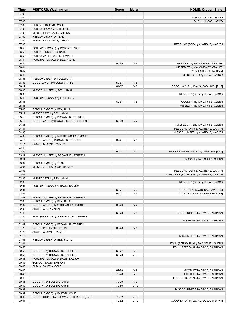| Time           | <b>VISITORS: Washington</b>                                | <b>Score</b>   | <b>Margin</b>   | <b>HOME: Oregon State</b>                                                 |
|----------------|------------------------------------------------------------|----------------|-----------------|---------------------------------------------------------------------------|
| 07:00          |                                                            |                |                 |                                                                           |
| 07:00          |                                                            |                |                 | SUB OUT: RAND, AHMAD                                                      |
| 07:00          |                                                            |                |                 | SUB IN: LUCAS, JAROD                                                      |
| 07:00<br>07:00 | SUB OUT: BAJEMA, COLE<br>SUB IN: BROWN JR., TERRELL        |                |                 |                                                                           |
| 07:00          | MISSED FT by DAVIS, DAEJON                                 |                |                 |                                                                           |
| 07:00          | REBOUND (OFF) by TEAM                                      |                |                 |                                                                           |
| 07:00          | MISSED FT by DAVIS, DAEJON                                 |                |                 |                                                                           |
| 07:00          |                                                            |                |                 | REBOUND (DEF) by ALATISHE, WARITH                                         |
| 06:58          | FOUL (PERSONAL) by ROBERTS, NATE                           |                |                 |                                                                           |
| 06:58          | SUB OUT: ROBERTS, NATE                                     |                |                 |                                                                           |
| 06:58          | SUB IN: MATTHEWS JR., EMMITT                               |                |                 |                                                                           |
| 06:44          | FOUL (PERSONAL) by BEY, JAMAL                              |                |                 |                                                                           |
| 06:44          |                                                            | 59-65          | $V_6$           | GOOD! FT by MALONE-KEY, XZAVIER                                           |
| 06:44<br>06:42 |                                                            |                |                 | MISSED FT by MALONE-KEY, XZAVIER<br>REBOUND (OFF) by TEAM                 |
| 06:40          |                                                            |                |                 | MISSED 3PTR by LUCAS, JAROD                                               |
| 06:36          | REBOUND (DEF) by FULLER, PJ                                |                |                 |                                                                           |
| 06:33          | GOOD! LAYUP by FULLER, PJ [FB]                             | 59-67          | V8              |                                                                           |
| 06:19          |                                                            | 61-67          | $V_6$           | GOOD! LAYUP by DAVIS, DASHAWN [PNT]                                       |
| 06:06          | MISSED JUMPER by BEY, JAMAL                                |                |                 |                                                                           |
| 06:03          |                                                            |                |                 | REBOUND (DEF) by LUCAS, JAROD                                             |
| 05:46          | FOUL (PERSONAL) by FULLER, PJ                              |                |                 |                                                                           |
| 05:46<br>05:46 |                                                            | 62-67          | V <sub>5</sub>  | GOOD! FT by TAYLOR JR., GLENN<br>MISSED FT by TAYLOR JR., GLENN           |
| 05:46          | REBOUND (DEF) by BEY, JAMAL                                |                |                 |                                                                           |
| 05:17          | MISSED 3PTR by BEY, JAMAL                                  |                |                 |                                                                           |
| 05:13          | REBOUND (OFF) by BROWN JR., TERRELL                        |                |                 |                                                                           |
| 05:12          | GOOD! LAYUP by BROWN JR., TERRELL [PNT]                    | 62-69          | V <sub>7</sub>  |                                                                           |
| 04:55          |                                                            |                |                 | MISSED 3PTR by TAYLOR JR., GLENN                                          |
| 04:51          |                                                            |                |                 | REBOUND (OFF) by ALATISHE, WARITH                                         |
| 04:36          |                                                            |                |                 | MISSED JUMPER by ALATISHE, WARITH                                         |
| 04:33          | REBOUND (DEF) by MATTHEWS JR., EMMITT                      |                |                 |                                                                           |
| 04:15<br>04:15 | GOOD! LAYUP by BROWN JR., TERRELL                          | 62-71          | V <sub>9</sub>  |                                                                           |
| 03:44          | ASSIST by DAVIS, DAEJON                                    |                |                 |                                                                           |
| 03:35          |                                                            | 64-71          | V <sub>7</sub>  | GOOD! JUMPER by DAVIS, DASHAWN [PNT]                                      |
| 03:11          | MISSED JUMPER by BROWN JR., TERRELL                        |                |                 |                                                                           |
| 03:11          |                                                            |                |                 | BLOCK by TAYLOR JR., GLENN                                                |
| 03:07          | REBOUND (OFF) by TEAM                                      |                |                 |                                                                           |
| 03:07          | MISSED 3PTR by DAVIS, DAEJON                               |                |                 |                                                                           |
| 03:03          |                                                            |                |                 | REBOUND (DEF) by ALATISHE, WARITH                                         |
| 03:01<br>02:36 | MISSED 3PTR by BEY, JAMAL                                  |                |                 | TURNOVER (BADPASS) by ALATISHE, WARITH                                    |
| 02:33          |                                                            |                |                 | REBOUND (DEF) by LUCAS, JAROD                                             |
| 02:31          | FOUL (PERSONAL) by DAVIS, DAEJON                           |                |                 |                                                                           |
| 02:31          |                                                            | 65-71          | $V_6$           | GOOD! FT by DAVIS, DASHAWN [FB]                                           |
| 02:31          |                                                            | 66-71          | V <sub>5</sub>  | GOOD! FT by DAVIS, DASHAWN [FB]                                           |
| 02:07          | MISSED JUMPER by BROWN JR., TERRELL                        |                |                 |                                                                           |
| 02:03          | REBOUND (OFF) by BEY, JAMAL                                |                |                 |                                                                           |
| 02:02          | GOOD! LAYUP by MATTHEWS JR., EMMITT                        | 66-73          | V <sub>7</sub>  |                                                                           |
| 02:02<br>01:49 | ASSIST by BEY, JAMAL                                       | 68-73          | V <sub>5</sub>  | GOOD! JUMPER by DAVIS, DASHAWN                                            |
| 01:49          | FOUL (PERSONAL) by BROWN JR., TERRELL                      |                |                 |                                                                           |
| 01:49          |                                                            |                |                 | MISSED FT by DAVIS, DASHAWN                                               |
| 01:49          | REBOUND (DEF) by BROWN JR., TERRELL                        |                |                 |                                                                           |
| 01:20          | GOOD! 3PTR by FULLER, PJ                                   | 68-76          | V8              |                                                                           |
| 01:20          | ASSIST by DAVIS, DAEJON                                    |                |                 |                                                                           |
| 01:12          |                                                            |                |                 | MISSED 3PTR by DAVIS, DASHAWN                                             |
| 01:08          | REBOUND (DEF) by BEY, JAMAL                                |                |                 |                                                                           |
| 01:01<br>00:56 |                                                            |                |                 | FOUL (PERSONAL) by TAYLOR JR., GLENN<br>FOUL (PERSONAL) by DAVIS, DASHAWN |
| 00:56          | GOOD! FT by BROWN JR., TERRELL                             | 68-77          | V <sub>9</sub>  |                                                                           |
| 00:56          | GOOD! FT by BROWN JR., TERRELL                             | 68-78          | $V$ 10          |                                                                           |
| 00:46          | FOUL (PERSONAL) by DAVIS, DAEJON                           |                |                 |                                                                           |
| 00:46          | SUB OUT: DAVIS, DAEJON                                     |                |                 |                                                                           |
| 00:46          | SUB IN: BAJEMA, COLE                                       |                |                 |                                                                           |
| 00:46          |                                                            | 69-78          | V <sub>9</sub>  | GOOD! FT by DAVIS, DASHAWN                                                |
| 00:46          |                                                            | 70-78          | V8              | GOOD! FT by DAVIS, DASHAWN                                                |
| 00:45          |                                                            |                | V <sub>9</sub>  | FOUL (PERSONAL) by DAVIS, DASHAWN                                         |
| 00:45<br>00:45 | GOOD! FT by FULLER, PJ [FB]<br>GOOD! FT by FULLER, PJ [FB] | 70-79<br>70-80 | $V$ 10          |                                                                           |
| 00:37          |                                                            |                |                 | MISSED JUMPER by DAVIS, DASHAWN                                           |
| 00:32          | REBOUND (DEF) by BAJEMA, COLE                              |                |                 |                                                                           |
| 00:08          | GOOD! JUMPER by BROWN JR., TERRELL [PNT]                   | 70-82          | V <sub>12</sub> |                                                                           |
| 00:01          |                                                            | 72-82          | $V$ 10          | GOOD! LAYUP by LUCAS, JAROD [FB/PNT]                                      |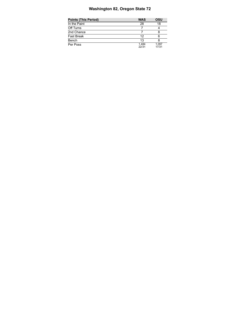# **Washington 82, Oregon State 72**

| Points (This Period) | <b>WAS</b>     | OSU            |
|----------------------|----------------|----------------|
| In the Paint         | 28             | 18             |
| Off Turns            |                |                |
| 2nd Chance           |                |                |
| Fast Break           | 12             |                |
| Bench                | 13             |                |
| Per Poss             | 1.484<br>22/31 | 1.097<br>17/31 |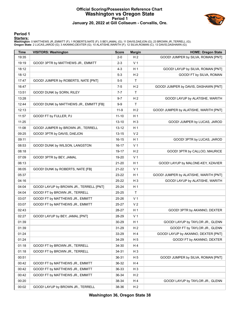## **Official Scoring/Possession Reference Chart Washington vs Oregon State Period 1 January 20, 2022 at Gill Coliseum - Corvallis, Ore.**



#### **Period 1**

#### **Starters:**

| <b>Time</b> | <b>VISITORS: Washington</b>             | <b>Score</b> | <b>Margin</b>  | <b>HOME: Oregon State</b>              |
|-------------|-----------------------------------------|--------------|----------------|----------------------------------------|
| 19:35       |                                         | $2-0$        | H <sub>2</sub> | GOOD! JUMPER by SILVA, ROMAN [PNT]     |
| 19:19       | GOOD! 3PTR by MATTHEWS JR., EMMITT      | $2 - 3$      | V <sub>1</sub> |                                        |
| 18:12       |                                         | $4 - 3$      | H <sub>1</sub> | GOOD! LAYUP by SILVA, ROMAN [PNT]      |
| 18:12       |                                         | 5-3          | H <sub>2</sub> | GOOD! FT by SILVA, ROMAN               |
| 17:47       | GOOD! JUMPER by ROBERTS, NATE [PNT]     | $5-5$        | T.             |                                        |
| 16:47       |                                         | $7-5$        | H <sub>2</sub> | GOOD! JUMPER by DAVIS, DASHAWN [PNT]   |
| 13:51       | GOOD! DUNK by SORN, RILEY               | $7 - 7$      | T.             |                                        |
| 13:28       |                                         | 9-7          | H <sub>2</sub> | GOOD! LAYUP by ALATISHE, WARITH        |
| 12:44       | GOOD! DUNK by MATTHEWS JR., EMMITT [FB] | $9-9$        | T.             |                                        |
| 12:13       |                                         | $11-9$       | H <sub>2</sub> | GOOD! JUMPER by ALATISHE, WARITH [PNT] |
| 11:57       | GOOD! FT by FULLER, PJ                  | $11 - 10$    | H <sub>1</sub> |                                        |
| 11:25       |                                         | $13 - 10$    | $H_3$          | GOOD! JUMPER by LUCAS, JAROD           |
| 11:08       | GOOD! JUMPER by BROWN JR., TERRELL      | $13 - 12$    | H <sub>1</sub> |                                        |
| 09:25       | GOOD! 3PTR by DAVIS, DAEJON             | $13 - 15$    | V <sub>2</sub> |                                        |
| 09:11       |                                         | $16 - 15$    | H <sub>1</sub> | GOOD! 3PTR by LUCAS, JAROD             |
| 08:53       | GOOD! DUNK by WILSON, LANGSTON          | 16-17        | V <sub>1</sub> |                                        |
| 08:18       |                                         | 19-17        | H <sub>2</sub> | GOOD! 3PTR by CALLOO, MAURICE          |
| 07:09       | GOOD! 3PTR by BEY, JAMAL                | 19-20        | V <sub>1</sub> |                                        |
| 06:13       |                                         | 21-20        | H <sub>1</sub> | GOOD! LAYUP by MALONE-KEY, XZAVIER     |
| 06:05       | GOOD! DUNK by ROBERTS, NATE [FB]        | 21-22        | V <sub>1</sub> |                                        |
| 05:37       |                                         | 23-22        | H <sub>1</sub> | GOOD! JUMPER by ALATISHE, WARITH [PNT] |
| 04:16       |                                         | 25-22        | $H_3$          | GOOD! LAYUP by ALATISHE, WARITH        |
| 04:04       | GOOD! LAYUP by BROWN JR., TERRELL [PNT] | 25-24        | H <sub>1</sub> |                                        |
| 04:04       | GOOD! FT by BROWN JR., TERRELL          | 25-25        | T              |                                        |
| 03:07       | GOOD! FT by MATTHEWS JR., EMMITT        | 25-26        | V <sub>1</sub> |                                        |
| 03:07       | GOOD! FT by MATTHEWS JR., EMMITT        | 25-27        | V <sub>2</sub> |                                        |
| 02:43       |                                         | 28-27        | H <sub>1</sub> | GOOD! 3PTR by AKANNO, DEXTER           |
| 02:27       | GOOD! LAYUP by BEY, JAMAL [PNT]         | 28-29        | V <sub>1</sub> |                                        |
| 01:39       |                                         | 30-29        | H <sub>1</sub> | GOOD! LAYUP by TAYLOR JR., GLENN       |
| 01:39       |                                         | 31-29        | H <sub>2</sub> | GOOD! FT by TAYLOR JR., GLENN          |
| 01:24       |                                         | 33-29        | H 4            | GOOD! LAYUP by AKANNO, DEXTER [PNT]    |
| 01:24       |                                         | 34-29        | H <sub>5</sub> | GOOD! FT by AKANNO, DEXTER             |
| 01:18       | GOOD! FT by BROWN JR., TERRELL          | 34-30        | H 4            |                                        |
| 01:18       | GOOD! FT by BROWN JR., TERRELL          | 34-31        | $H_3$          |                                        |
| 00:51       |                                         | 36-31        | H 5            | GOOD! JUMPER by SILVA, ROMAN [PNT]     |
| 00:42       | GOOD! FT by MATTHEWS JR., EMMITT        | 36-32        | H 4            |                                        |
| 00:42       | GOOD! FT by MATTHEWS JR., EMMITT        | 36-33        | $H_3$          |                                        |
| 00:42       | GOOD! FT by MATTHEWS JR., EMMITT        | 36-34        | H <sub>2</sub> |                                        |
| 00:20       |                                         | 38-34        | H 4            | GOOD! LAYUP by TAYLOR JR., GLENN       |
| 00:02       | GOOD! LAYUP by BROWN JR., TERRELL       | 38-36        | H <sub>2</sub> |                                        |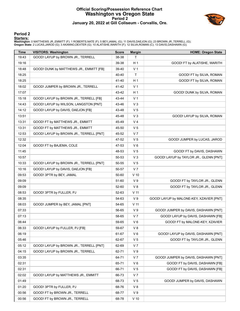## **Official Scoring/Possession Reference Chart Washington vs Oregon State Period 2 January 20, 2022 at Gill Coliseum - Corvallis, Ore.**



#### **Period 2**

#### **Starters:**

| <b>Time</b> | <b>VISITORS: Washington</b>             | <b>Score</b> | <b>Margin</b>   | <b>HOME: Oregon State</b>                |
|-------------|-----------------------------------------|--------------|-----------------|------------------------------------------|
| 19:43       | GOOD! LAYUP by BROWN JR., TERRELL       | 38-38        | T.              |                                          |
| 19:16       |                                         | 39-38        | H <sub>1</sub>  | GOOD! FT by ALATISHE, WARITH             |
| 18:48       | GOOD! DUNK by MATTHEWS JR., EMMITT [FB] | 39-40        | V <sub>1</sub>  |                                          |
| 18:25       |                                         | 40-40        | $\mathsf{T}$    | GOOD! FT by SILVA, ROMAN                 |
| 18:25       |                                         | 41-40        | H <sub>1</sub>  | GOOD! FT by SILVA, ROMAN                 |
| 18:02       | GOOD! JUMPER by BROWN JR., TERRELL      | 41-42        | V <sub>1</sub>  |                                          |
| 17:07       |                                         | 43-42        | H <sub>1</sub>  | GOOD! DUNK by SILVA, ROMAN               |
| 15:18       | GOOD! LAYUP by BROWN JR., TERRELL [FB]  | 43-44        | V <sub>1</sub>  |                                          |
| 14:43       | GOOD! LAYUP by WILSON, LANGSTON [PNT]   | 43-46        | V <sub>3</sub>  |                                          |
| 14:12       | GOOD! LAYUP by DAVIS, DAEJON [FB]       | 43-48        | V <sub>5</sub>  |                                          |
| 13:51       |                                         | 45-48        | V <sub>3</sub>  | GOOD! LAYUP by SILVA, ROMAN              |
| 13:31       | GOOD! FT by MATTHEWS JR., EMMITT        | 45-49        | V <sub>4</sub>  |                                          |
| 13:31       | GOOD! FT by MATTHEWS JR., EMMITT        | 45-50        | V <sub>5</sub>  |                                          |
| 12:53       | GOOD! LAYUP by BROWN JR., TERRELL [PNT] | 45-52        | V <sub>7</sub>  |                                          |
| 12:32       |                                         | 47-52        | V <sub>5</sub>  | GOOD! JUMPER by LUCAS, JAROD             |
| 12:04       | GOOD! FT by BAJEMA, COLE                | 47-53        | $V_6$           |                                          |
| 11:45       |                                         | 48-53        | V <sub>5</sub>  | GOOD! FT by DAVIS, DASHAWN               |
| 10:57       |                                         | 50-53        | V <sub>3</sub>  | GOOD! LAYUP by TAYLOR JR., GLENN [PNT]   |
| 10:33       | GOOD! LAYUP by BROWN JR., TERRELL [PNT] | 50-55        | V <sub>5</sub>  |                                          |
| 10:16       | GOOD! LAYUP by DAVIS, DAEJON [FB]       | 50-57        | V <sub>7</sub>  |                                          |
| 09:53       | GOOD! 3PTR by BEY, JAMAL                | 50-60        | $V$ 10          |                                          |
| 09:09       |                                         | 51-60        | V <sub>9</sub>  | GOOD! FT by TAYLOR JR., GLENN            |
| 09:09       |                                         | 52-60        | V8              | GOOD! FT by TAYLOR JR., GLENN            |
| 08:53       | GOOD! 3PTR by FULLER, PJ                | 52-63        | V <sub>11</sub> |                                          |
| 08:35       |                                         | 54-63        | V <sub>9</sub>  | GOOD! LAYUP by MALONE-KEY, XZAVIER [PNT] |
| 08:03       | GOOD! JUMPER by BEY, JAMAL [PNT]        | 54-65        | V <sub>11</sub> |                                          |
| 07:33       |                                         | 56-65        | V <sub>9</sub>  | GOOD! JUMPER by DAVIS, DASHAWN [PNT]     |
| 07:13       |                                         | 58-65        | V <sub>7</sub>  | GOOD! LAYUP by DAVIS, DASHAWN [FB]       |
| 06:44       |                                         | 59-65        | $V_6$           | GOOD! FT by MALONE-KEY, XZAVIER          |
| 06:33       | GOOD! LAYUP by FULLER, PJ [FB]          | 59-67        | V8              |                                          |
| 06:19       |                                         | 61-67        | $V_6$           | GOOD! LAYUP by DAVIS, DASHAWN [PNT]      |
| 05:46       |                                         | 62-67        | V <sub>5</sub>  | GOOD! FT by TAYLOR JR., GLENN            |
| 05:12       | GOOD! LAYUP by BROWN JR., TERRELL [PNT] | 62-69        | V <sub>7</sub>  |                                          |
| 04:15       | GOOD! LAYUP by BROWN JR., TERRELL       | 62-71        | V <sub>9</sub>  |                                          |
| 03:35       |                                         | 64-71        | V <sub>7</sub>  | GOOD! JUMPER by DAVIS, DASHAWN [PNT]     |
| 02:31       |                                         | 65-71        | $V_6$           | GOOD! FT by DAVIS, DASHAWN [FB]          |
| 02:31       |                                         | 66-71        | V <sub>5</sub>  | GOOD! FT by DAVIS, DASHAWN [FB]          |
| 02:02       | GOOD! LAYUP by MATTHEWS JR., EMMITT     | 66-73        | V <sub>7</sub>  |                                          |
| 01:49       |                                         | 68-73        | V <sub>5</sub>  | GOOD! JUMPER by DAVIS, DASHAWN           |
| 01:20       | GOOD! 3PTR by FULLER, PJ                | 68-76        | V8              |                                          |
| 00:56       | GOOD! FT by BROWN JR., TERRELL          | 68-77        | V <sub>9</sub>  |                                          |
| 00:56       | GOOD! FT by BROWN JR., TERRELL          | 68-78        | $V$ 10          |                                          |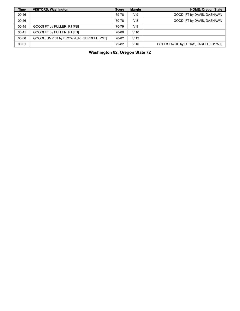| <b>Time</b> | <b>VISITORS: Washington</b>              | <b>Score</b> | <b>Margin</b>   | <b>HOME: Oregon State</b>            |
|-------------|------------------------------------------|--------------|-----------------|--------------------------------------|
| 00:46       |                                          | 69-78        | V <sub>9</sub>  | GOOD! FT by DAVIS, DASHAWN           |
| 00:46       |                                          | 70-78        | V8              | GOOD! FT by DAVIS, DASHAWN           |
| 00:45       | GOOD! FT by FULLER, PJ [FB]              | 70-79        | V <sub>9</sub>  |                                      |
| 00:45       | GOOD! FT by FULLER, PJ [FB]              | 70-80        | V <sub>10</sub> |                                      |
| 00:08       | GOOD! JUMPER by BROWN JR., TERRELL [PNT] | 70-82        | V <sub>12</sub> |                                      |
| 00:01       |                                          | 72-82        | V <sub>10</sub> | GOOD! LAYUP by LUCAS, JAROD [FB/PNT] |

**Washington 82, Oregon State 72**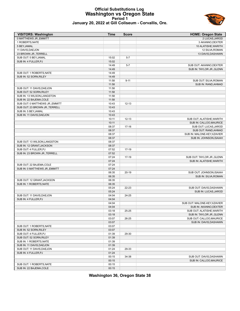#### **Official Substitutions Log Washington vs Oregon State Period 1 January 20, 2022 at Gill Coliseum - Corvallis, Ore.**



| <b>VISITORS: Washington</b>     | <b>Time</b> | <b>Score</b> | <b>HOME: Oregon State</b>    |
|---------------------------------|-------------|--------------|------------------------------|
| 0 MATTHEWS JR., EMMITT          |             |              | 2 LUCAS, JAROD               |
| 1 ROBERTS, NATE                 |             |              | 3 AKANNO, DEXTER             |
| 5 BEY, JAMAL                    |             |              | 10 ALATISHE, WARITH          |
| 11 DAVIS, DAEJON                |             |              | 12 SILVA, ROMAN              |
| 23 BROWN JR., TERRELL           |             |              | 13 DAVIS, DASHAWN            |
| SUB OUT: 5 BEY, JAMAL           | 15:02       | $5 - 7$      |                              |
| SUB IN: 4 FULLER, PJ            | 15:02       |              |                              |
|                                 | 14:49       | $5 - 7$      | SUB OUT: AKANNO, DEXTER      |
|                                 | 14:49       |              | SUB IN: TAYLOR JR., GLENN    |
| SUB OUT: 1 ROBERTS, NATE        | 14:49       |              |                              |
| SUB IN: 52 SORN, RILEY          | 14:49       |              |                              |
|                                 | 11:58       | $9 - 11$     | SUB OUT: SILVA, ROMAN        |
|                                 | 11:58       |              | SUB IN: RAND, AHMAD          |
| SUB OUT: 11 DAVIS, DAEJON       | 11:58       |              |                              |
| SUB OUT: 52 SORN, RILEY         | 11:58       |              |                              |
| SUB IN: 13 WILSON, LANGSTON     | 11:58       |              |                              |
| SUB IN: 22 BAJEMA, COLE         | 11:58       |              |                              |
| SUB OUT: 0 MATTHEWS JR., EMMITT | 10:43       | $12 - 13$    |                              |
| SUB OUT: 23 BROWN JR., TERRELL  | 10:43       |              |                              |
| SUB IN: 5 BEY, JAMAL            | 10:43       |              |                              |
| SUB IN: 11 DAVIS, DAEJON        | 10:43       |              |                              |
|                                 | 10:11       | $12 - 13$    | SUB OUT: ALATISHE, WARITH    |
|                                 | 10:11       |              | SUB IN: CALLOO, MAURICE      |
|                                 | 08:37       | $17-16$      | SUB OUT: LUCAS, JAROD        |
|                                 | 08:37       |              | SUB OUT: RAND, AHMAD         |
|                                 | 08:37       |              | SUB IN: MALONE-KEY, XZAVIER  |
|                                 | 08:37       |              | SUB IN: JOHNSON, ISAIAH      |
| SUB OUT: 13 WILSON, LANGSTON    | 08:37       |              |                              |
| SUB IN: 12 GRANT, JACKSON       | 08:37       |              |                              |
| SUB OUT: 4 FULLER, PJ           | 07:52       | 17-19        |                              |
| SUB IN: 23 BROWN JR., TERRELL   | 07:52       |              |                              |
|                                 | 07:24       | 17-19        | SUB OUT: TAYLOR JR., GLENN   |
|                                 | 07:24       |              | SUB IN: ALATISHE, WARITH     |
| SUB OUT: 22 BAJEMA, COLE        | 07:24       |              |                              |
| SUB IN: 0 MATTHEWS JR., EMMITT  | 07:24       |              |                              |
|                                 | 06:35       | $20-19$      | SUB OUT: JOHNSON, ISAIAH     |
|                                 | 06:35       |              | SUB IN: SILVA, ROMAN         |
| SUB OUT: 12 GRANT, JACKSON      | 06:35       |              |                              |
| SUB IN: 1 ROBERTS, NATE         | 06:35       |              |                              |
|                                 | 05:24       | 22-23        | SUB OUT: DAVIS, DASHAWN      |
|                                 | 05:24       |              | SUB IN: LUCAS, JAROD         |
| SUB OUT: 11 DAVIS, DAEJON       | 04:04       | 24-25        |                              |
| SUB IN: 4 FULLER, PJ            | 04:04       |              |                              |
|                                 | 04:04       |              | SUB OUT: MALONE-KEY, XZAVIER |
|                                 | 04:04       |              | SUB IN: AKANNO, DEXTER       |
|                                 | 03:18       | 25-25        | SUB OUT: ALATISHE, WARITH    |
|                                 | 03:18       |              | SUB IN: TAYLOR JR., GLENN    |
|                                 | 03:07       | 26-25        | SUB OUT: CALLOO, MAURICE     |
|                                 | 03:07       |              | SUB IN: DAVIS, DASHAWN       |
| SUB OUT: 1 ROBERTS, NATE        | 03:07       |              |                              |
| SUB IN: 52 SORN, RILEY          | 03:07       |              |                              |
| SUB OUT: 4 FULLER, PJ           | 01:39       | 29-30        |                              |
| SUB OUT: 52 SORN, RILEY         | 01:39       |              |                              |
| SUB IN: 1 ROBERTS, NATE         | 01:39       |              |                              |
| SUB IN: 11 DAVIS, DAEJON        | 01:39       |              |                              |
| SUB OUT: 11 DAVIS, DAEJON       | 01:24       | 29-33        |                              |
| SUB IN: 4 FULLER, PJ            | 01:24       |              |                              |
|                                 | 00:15       | 34-38        | SUB OUT: DAVIS, DASHAWN      |
|                                 | 00:15       |              | SUB IN: CALLOO, MAURICE      |
| SUB OUT: 1 ROBERTS, NATE        | 00:15       |              |                              |
| SUB IN: 22 BAJEMA, COLE         | 00:15       |              |                              |
|                                 |             |              |                              |

**Washington 36, Oregon State 38**